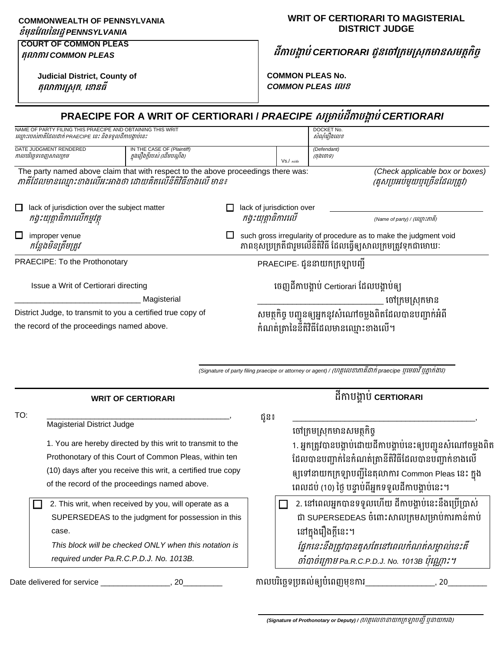**COMMONWEALTH OF PENNSYLVANIA** 

## **ខំមុនវែលននរដ្ឋ***PENNSYLVANIA*

#### **COURT OF COMMON PLEAS តុលាការ** *COMMON PLEAS*

**Judicial District, County of តុលាការស្រុក***,* **ខ ានធី**

### **WRIT OF CERTIORARI TO MAGISTERIAL DISTRICT JUDGE**

**ដីកាបង្គាប់***CERTIORARI* **ជូនច ាក្រមក្រុរមានរមត្ថរិច្ច**

**COMMON PLEAS No.** *COMMON PLEAS* **ខលខ**

| PRAECIPE FOR A WRIT OF CERTIORARI / PRAECIPE សម្រាប់ដីកាបង្គាប់ CERTIORARI                                                                  |                                                             |  |                                                 |                                                          |                           |                                                                                                                                    |  |
|---------------------------------------------------------------------------------------------------------------------------------------------|-------------------------------------------------------------|--|-------------------------------------------------|----------------------------------------------------------|---------------------------|------------------------------------------------------------------------------------------------------------------------------------|--|
| NAME OF PARTY FILING THIS PRAECIPE AND OBTAINING THIS WRIT<br>ឈ្មោះរបស់ភាគីដែលដាក់ PRAECIPE នេះ និងទទួលដីកាបង្គាប់នេះ                       |                                                             |  |                                                 |                                                          | DOCKET No.<br>សំណុំរឿងលេខ |                                                                                                                                    |  |
| DATE JUDGMENT RENDERED<br>កាលបរិច្ឆេទចេញសាលក្រម                                                                                             | IN THE CASE OF (Plaintiff)<br>ក្នុងរឿងក្តីរបស់់ (ដើមបណ្តឹង) |  |                                                 | Vs./ saião                                               | (Defendant)<br>(ចង់ចោទ)   |                                                                                                                                    |  |
| The party named above claim that with respect to the above proceedings there was:<br>ភាគីដែលមានឈ្មោះខាងលើអះអាងថា ដោយគិតលើនីតិវិធីខាងលើ មាន៖ |                                                             |  |                                                 |                                                          |                           | (Check applicable box or boxes)<br>(គូសប្រអប់មួយបុត្រើនដែលត្រូវ)                                                                   |  |
| lack of jurisdiction over the subject matter<br>$\Box$<br>កង្វះយុត្តាធិការលើកម្មវត្ត                                                        |                                                             |  | lack of jurisdiction over<br>កង្វះយុត្តាធិការលើ |                                                          |                           | (Name of party) / (นินิกะภาคิ)                                                                                                     |  |
| □<br>improper venue<br>កន្លែងមិនត្រឹមត្រូវ                                                                                                  |                                                             |  |                                                 |                                                          |                           | such gross irregularity of procedure as to make the judgment void<br>ភាពខុសប្រក្រតីជារួមលើនីតិវិធី ដែលធ្វើឲ្យសាលក្រមត្រូវទុកជាមោឃៈ |  |
| PRAECIPE: To the Prothonotary                                                                                                               |                                                             |  | PRAECIPE ជូននាយកក្រឡាបញ្ជី                      |                                                          |                           |                                                                                                                                    |  |
| Issue a Writ of Certiorari directing                                                                                                        |                                                             |  | ចេញដីកាបង្គាប់ Certiorari ដែលបង្គាប់ឲ្យ         |                                                          |                           |                                                                                                                                    |  |
| Magisterial                                                                                                                                 |                                                             |  |                                                 | ចៅក្រមស្រុកមាន                                           |                           |                                                                                                                                    |  |
| District Judge, to transmit to you a certified true copy of                                                                                 |                                                             |  |                                                 | សមត្ថកិច្ច បញ្ជូនឲ្យអ្នកនូវសំណៅចម្លងពិតដែលបានបញ្ជាក់អំពី |                           |                                                                                                                                    |  |
| the record of the proceedings named above.                                                                                                  |                                                             |  |                                                 | កំណត់ត្រានៃនីតិវិធីដែលមានឈ្មោះខាងលើ។                     |                           |                                                                                                                                    |  |

**\_\_\_\_\_\_\_\_\_\_\_\_\_\_\_\_\_\_\_\_\_\_\_\_\_\_\_\_\_\_\_\_\_\_\_\_\_\_\_\_\_\_\_\_\_\_\_\_\_\_\_\_\_\_\_\_\_\_\_** (Signature of party filing praecipe or attorney or agent) / (ហត្ថលេខាភាគីដាក់ praecipe ឬមេធាវី ឬភ្នាក់ងារ)

|     | <b>WRIT OF CERTIORARI</b>                                                                       |      | ដីកាបងាប CERTIORARI                                                                      |
|-----|-------------------------------------------------------------------------------------------------|------|------------------------------------------------------------------------------------------|
| TO: |                                                                                                 | ជូន៖ |                                                                                          |
|     | <b>Magisterial District Judge</b><br>1. You are hereby directed by this writ to transmit to the |      | ចៅក្រមស្រុកមានសមត្ថកិច្ច<br>1. អ្នកត្រូវបានបង្គាប់ដោយដីកាបង្គាប់នេះឲ្យបញ្ជូនសំណៅចម្លងពិត |
|     | Prothonotary of this Court of Common Pleas, within ten                                          |      | ដែលបានបញ្ជាក់នៃកំណត់ត្រានីតិវិធីដែលបានបញ្ជាក់ខាងលើ                                       |
|     | (10) days after you receive this writ, a certified true copy                                    |      | ឲ្យទៅនាយកក្រឡាបញ្ជីនៃតុលាការ Common Pleas នេះ ក្នុង                                      |
|     | of the record of the proceedings named above.                                                   |      | ពេលដប់ (10) ថ្ងៃ បន្ទាប់ពីអ្នកទទួលដីកាបង្គាប់នេះ។                                        |
|     | 2. This writ, when received by you, will operate as a                                           |      | 2. នៅពេលអ្នកបានទទួលហើយ ដីកាបង្គាប់នេះនឹងប្រើប្រាស់                                       |
|     | SUPERSEDEAS to the judgment for possession in this                                              |      | ជា SUPERSEDEAS ចំពោះសាលក្រមសម្រាប់ការកាន់កាប់                                            |
|     | case.                                                                                           |      | នៅក្នុងរឿងក្តីនេះ។                                                                       |
|     | This block will be checked ONLY when this notation is                                           |      | ផ្នែកនេះនឹងត្រូវបានគូសតែនៅពេលកំណត់សម្គាល់នេះគឺ                                           |
|     | required under Pa.R.C.P.D.J. No. 1013B.                                                         |      | ចាំបាច់ក្រោម Pa.R.C.P.D.J. No. 1013B ប៉ុណ្ណោះ។                                           |
|     | Date delivered for service<br>20                                                                |      | កាលបរិច្ឆេទប្រគល់ឲ្យបំពេញមុខការ_<br>20                                                   |

(Signature of Prothonotary or Deputy) / (ហត្ថលេខានាយកក្រឡាបញ្ជី ឬនាយករង)